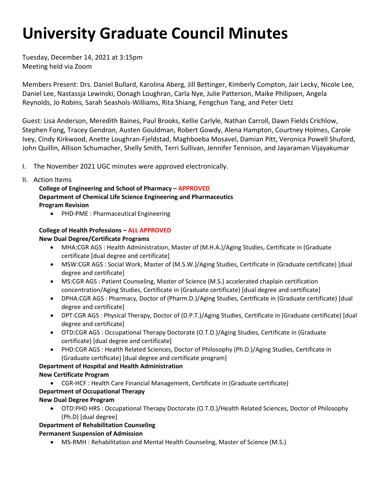# **University Graduate Council Minutes**

Tuesday, December 14, 2021 at 3:15pm Meeting held via Zoom

 Daniel Lee, Nastassja Lewinski, Oonagh Loughran, Carla Nye, Julie Patterson, Maike Philipsen, Angela Members Present: Drs. Daniel Bullard, Karolina Aberg, Jill Bettinger, Kimberly Compton, Jair Lecky, Nicole Lee, Reynolds, Jo Robins, Sarah Seashols-Williams, Rita Shiang, Fengchun Tang, and Peter Uetz

Guest: Lisa Anderson, Meredith Baines, Paul Brooks, Kellie Carlyle, Nathan Carroll, Dawn Fields Crichlow, Stephen Fong, Tracey Gendron, Austen Gouldman, Robert Gowdy, Alena Hampton, Courtney Holmes, Carole Ivey, Cindy Kirkwood, Anette Loughran-Fjeldstad, Maghboeba Mosavel, Damian Pitt, Veronica Powell Shuford, John Quillin, Allison Schumacher, Shelly Smith, Terri Sullivan, Jennifer Tennison, and Jayaraman Vijayakumar

- I. The November 2021 UGC minutes were approved electronically.
- II. Action Items

 **College of Engineering and School of Pharmacy – APPROVED Department of Chemical Life Science Engineering and Pharmaceutics Program Revision** 

• PHD-PME : Pharmaceutical Engineering

## **College of Health Professions – ALL APPROVED New Dual Degree/Certificate Programs**

- • MHA:CGR AGS : Health Administration, Master of (M.H.A.)/Aging Studies, Certificate in (Graduate certificate [dual degree and certificate]
- MSW:CGR AGS : Social Work, Master of (M.S.W.)/Aging Studies, Certificate in (Graduate certificate) [dual degree and certificate]
- • MS:CGR AGS : Patient Counseling, Master of Science (M.S.) accelerated chaplain certification concentration/Aging Studies, Certificate in (Graduate certificate) [dual degree and certificate]
- DPHA:CGR AGS : Pharmacy, Doctor of (Pharm.D.)/Aging Studies, Certificate in (Graduate certificate) [dual degree and certificate]
- DPT:CGR AGS : Physical Therapy, Doctor of (D.P.T.)/Aging Studies, Certificate in (Graduate certificate) [dual degree and certificate]
- OTD:CGR AGS : Occupational Therapy Doctorate (O.T.D.)/Aging Studies, Certificate in (Graduate certificate) [dual degree and certificate]
- PHD:CGR AGS : Health Related Sciences, Doctor of Philosophy (Ph.D.)/Aging Studies, Certificate in (Graduate certificate) [dual degree and certificate program]

## **Department of Hospital and Health Administration**

## **New Certificate Program**

• CGR-HCF : Health Care Financial Management, Certificate in (Graduate certificate)

## **Department of Occupational Therapy**

## **New Dual Degree Program**

• OTD:PHD HRS : Occupational Therapy Doctorate (O.T.D.)/Health Related Sciences, Doctor of Philosophy (Ph.D) [dual degree]

## **Department of Rehabilitation Counseling**

## **Permanent Suspension of Admission**

• MS-RMH : Rehabilitation and Mental Health Counseling, Master of Science (M.S.)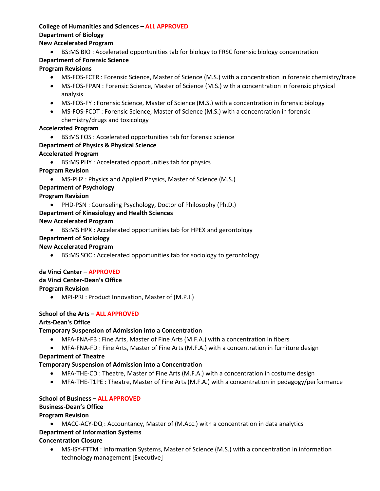## **College of Humanities and Sciences – ALL APPROVED**

## **Department of Biology**

## **New Accelerated Program**

• BS:MS BIO : Accelerated opportunities tab for biology to FRSC forensic biology concentration

## **Department of Forensic Science**

## **Program Revisions**

- MS-FOS-FCTR : Forensic Science, Master of Science (M.S.) with a concentration in forensic chemistry/trace
- MS-FOS-FPAN : Forensic Science, Master of Science (M.S.) with a concentration in forensic physical analysis
- MS-FOS-FY : Forensic Science, Master of Science (M.S.) with a concentration in forensic biology
- • MS-FOS-FCDT : Forensic Science, Master of Science (M.S.) with a concentration in forensic chemistry/drugs and toxicology

## **Accelerated Program**

• BS:MS FOS : Accelerated opportunities tab for forensic science

## **Department of Physics & Physical Science**

## **Accelerated Program**

- BS:MS PHY : Accelerated opportunities tab for physics
- **Program Revision** 
	- MS-PHZ : Physics and Applied Physics, Master of Science (M.S.)

## **Department of Psychology**

## **Program Revision**

• PHD-PSN : Counseling Psychology, Doctor of Philosophy (Ph.D.)

## **Department of Kinesiology and Health Sciences**

## **New Accelerated Program**

• BS:MS HPX : Accelerated opportunities tab for HPEX and gerontology

## **Department of Sociology**

## **New Accelerated Program**

• BS:MS SOC : Accelerated opportunities tab for sociology to gerontology

## **da Vinci Center – APPROVED da Vinci Center-Dean's Office Program Revision**

• MPI-PRI : Product Innovation, Master of (M.P.I.)

## **School of the Arts – ALL APPROVED**

## **Arts-Dean's Office**

## **Temporary Suspension of Admission into a Concentration**

- MFA-FNA-FB : Fine Arts, Master of Fine Arts (M.F.A.) with a concentration in fibers
- MFA-FNA-FD : Fine Arts, Master of Fine Arts (M.F.A.) with a concentration in furniture design

## **Department of Theatre**

## **Temporary Suspension of Admission into a Concentration**

- MFA-THE-CD : Theatre, Master of Fine Arts (M.F.A.) with a concentration in costume design
- MFA-THE-T1PE : Theatre, Master of Fine Arts (M.F.A.) with a concentration in pedagogy/performance

## **School of Business – ALL APPROVED**

## **Business-Dean's Office**

## **Program Revision**

• MACC-ACY-DQ : Accountancy, Master of (M.Acc.) with a concentration in data analytics **Department of Information Systems** 

## **Concentration Closure**

• MS-ISY-FTTM : Information Systems, Master of Science (M.S.) with a concentration in information technology management [Executive]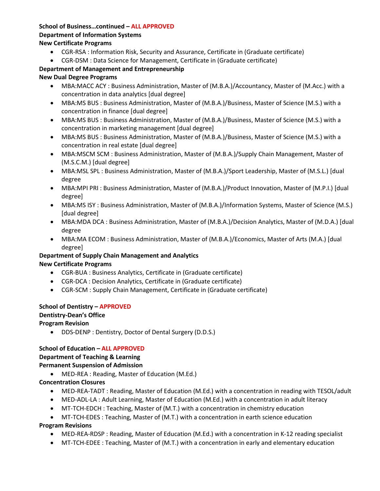## **School of Business…continued – ALL APPROVED**

### **Department of Information Systems**

## **New Certificate Programs**

- CGR-RSA : Information Risk, Security and Assurance, Certificate in (Graduate certificate)
- CGR-DSM : Data Science for Management, Certificate in (Graduate certificate)

## **Department of Management and Entrepreneurship**

## **New Dual Degree Programs**

- • MBA:MACC ACY : Business Administration, Master of (M.B.A.)/Accountancy, Master of (M.Acc.) with a concentration in data analytics [dual degree]
- • MBA:MS BUS : Business Administration, Master of (M.B.A.)/Business, Master of Science (M.S.) with a concentration in finance [dual degree]
- • MBA:MS BUS : Business Administration, Master of (M.B.A.)/Business, Master of Science (M.S.) with a concentration in marketing management [dual degree]
- • MBA:MS BUS : Business Administration, Master of (M.B.A.)/Business, Master of Science (M.S.) with a concentration in real estate [dual degree]
- MBA:MSCM SCM : Business Administration, Master of (M.B.A.)/Supply Chain Management, Master of (M.S.C.M.) [dual degree]
- MBA:MSL SPL : Business Administration, Master of (M.B.A.)/Sport Leadership, Master of (M.S.L.) [dual degree
- • MBA:MPI PRI : Business Administration, Master of (M.B.A.)/Product Innovation, Master of (M.P.I.) [dual degree]
- MBA:MS ISY : Business Administration, Master of (M.B.A.)/Information Systems, Master of Science (M.S.) [dual degree]
- MBA:MDA DCA : Business Administration, Master of (M.B.A.)/Decision Analytics, Master of (M.D.A.) [dual degree
- • MBA:MA ECOM : Business Administration, Master of (M.B.A.)/Economics, Master of Arts (M.A.) [dual degree]

## **Department of Supply Chain Management and Analytics New Certificate Programs**

- CGR-BUA : Business Analytics, Certificate in (Graduate certificate)
- CGR-DCA : Decision Analytics, Certificate in (Graduate certificate)
- CGR-SCM : Supply Chain Management, Certificate in (Graduate certificate)

## **School of Dentistry – APPROVED**

## **Dentistry-Dean's Office**

## **Program Revision**

• DDS-DENP : Dentistry, Doctor of Dental Surgery (D.D.S.)

## **School of Education – ALL APPROVED**

## **Department of Teaching & Learning**

## **Permanent Suspension of Admission**

• MED-REA : Reading, Master of Education (M.Ed.)

## **Concentration Closures**

- MED-REA-TADT : Reading, Master of Education (M.Ed.) with a concentration in reading with TESOL/adult
- MED-ADL-LA : Adult Learning, Master of Education (M.Ed.) with a concentration in adult literacy
- MT-TCH-EDCH : Teaching, Master of (M.T.) with a concentration in chemistry education
- MT-TCH-EDES : Teaching, Master of (M.T.) with a concentration in earth science education

## **Program Revisions**

- MED-REA-RDSP : Reading, Master of Education (M.Ed.) with a concentration in K-12 reading specialist
- MT-TCH-EDEE : Teaching, Master of (M.T.) with a concentration in early and elementary education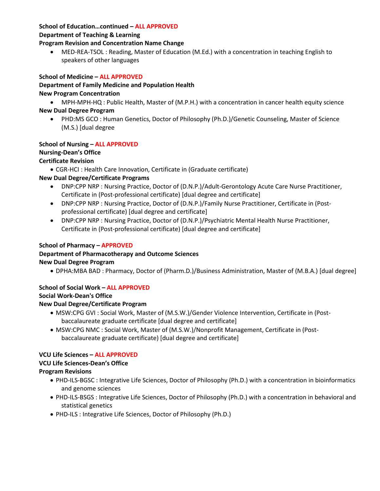## **School of Education…continued – ALL APPROVED**

### **Department of Teaching & Learning**

## **Program Revision and Concentration Name Change**

 • MED-REA-TSOL : Reading, Master of Education (M.Ed.) with a concentration in teaching English to speakers of other languages

## **School of Medicine – ALL APPROVED**

## **Department of Family Medicine and Population Health**

## **New Program Concentration**

• MPH-MPH-HQ : Public Health, Master of (M.P.H.) with a concentration in cancer health equity science

## **New Dual Degree Program**

 • PHD:MS GCO : Human Genetics, Doctor of Philosophy (Ph.D.)/Genetic Counseling, Master of Science (M.S.) [dual degree

## **School of Nursing – ALL APPROVED**

## **Nursing-Dean's Office**

## **Certificate Revision**

• CGR-HCI : Health Care Innovation, Certificate in (Graduate certificate)

## **New Dual Degree/Certificate Programs**

- DNP:CPP NRP : Nursing Practice, Doctor of (D.N.P.)/Adult-Gerontology Acute Care Nurse Practitioner, Certificate in (Post-professional certificate) [dual degree and certificate]
- DNP:CPP NRP : Nursing Practice, Doctor of (D.N.P.)/Family Nurse Practitioner, Certificate in (Postprofessional certificate) [dual degree and certificate]
- DNP:CPP NRP : Nursing Practice, Doctor of (D.N.P.)/Psychiatric Mental Health Nurse Practitioner, Certificate in (Post-professional certificate) [dual degree and certificate]

## **School of Pharmacy – APPROVED**

## **Department of Pharmacotherapy and Outcome Sciences**

## **New Dual Degree Program**

• DPHA:MBA BAD : Pharmacy, Doctor of (Pharm.D.)/Business Administration, Master of (M.B.A.) [dual degree]

## **School of Social Work – ALL APPROVED**

## **Social Work-Dean's Office**

## **New Dual Degree/Certificate Program**

- MSW:CPG GVI : Social Work, Master of (M.S.W.)/Gender Violence Intervention, Certificate in (Postbaccalaureate graduate certificate [dual degree and certificate]
- MSW:CPG NMC : Social Work, Master of (M.S.W.)/Nonprofit Management, Certificate in (Postbaccalaureate graduate certificate) [dual degree and certificate]

## **VCU Life Sciences – ALL APPROVED**

## **VCU Life Sciences-Dean's Office**

## **Program Revisions**

- PHD-ILS-BGSC : Integrative Life Sciences, Doctor of Philosophy (Ph.D.) with a concentration in bioinformatics and genome sciences
- PHD-ILS-BSGS : Integrative Life Sciences, Doctor of Philosophy (Ph.D.) with a concentration in behavioral and statistical genetics
- PHD-ILS : Integrative Life Sciences, Doctor of Philosophy (Ph.D.)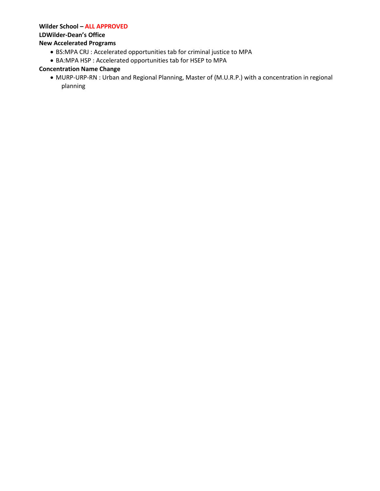### **Wilder School – ALL APPROVED**

#### **LDWilder-Dean's Office**

### **New Accelerated Programs**

- BS:MPA CRJ : Accelerated opportunities tab for criminal justice to MPA
- BA:MPA HSP : Accelerated opportunities tab for HSEP to MPA

## **Concentration Name Change**

 • MURP-URP-RN : Urban and Regional Planning, Master of (M.U.R.P.) with a concentration in regional planning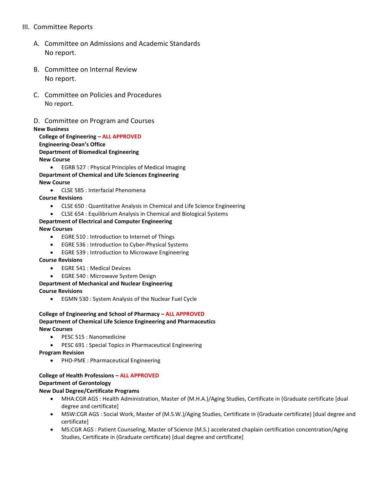## III. Committee Reports

- A. Committee on Admissions and Academic Standards No report.
- B. Committee on Internal Review No report.
- C. Committee on Policies and Procedures No report.
- D. Committee on Program and Courses

#### **New Business**

 **College of Engineering – ALL APPROVED Engineering-Dean's Office Department of Biomedical Engineering New Course** 

• EGRB 527 : Physical Principles of Medical Imaging **Department of Chemical and Life Sciences Engineering New Course** 

• CLSE 585 : Interfacial Phenomena

**Course Revisions** 

- CLSE 650 : Quantitative Analysis in Chemical and Life Science Engineering
- CLSE 654 : Equilibrium Analysis in Chemical and Biological Systems

### **Department of Electrical and Computer Engineering**

#### **New Courses**

- EGRE 510 : Introduction to Internet of Things
- EGRE 536 : Introduction to Cyber-Physical Systems
- EGRE 539 : Introduction to Microwave Engineering

#### **Course Revisions**

- EGRE 541 : Medical Devices
- EGRE 540 : Microwave System Design

#### **Department of Mechanical and Nuclear Engineering**

**Course Revisions** 

• EGMN 530 : System Analysis of the Nuclear Fuel Cycle

#### **College of Engineering and School of Pharmacy – ALL APPROVED Department of Chemical Life Science Engineering and Pharmaceutics New Courses**

- PESC 515 : Nanomedicine
- PESC 691 : Special Topics in Pharmaceutical Engineering

**Program Revision** 

• PHD-PME : Pharmaceutical Engineering

## **College of Health Professions – ALL APPROVED Department of Gerontology**

#### **New Dual Degree/Certificate Programs**

- • MHA:CGR AGS : Health Administration, Master of (M.H.A.)/Aging Studies, Certificate in (Graduate certificate [dual degree and certificate]
- • MSW:CGR AGS : Social Work, Master of (M.S.W.)/Aging Studies, Certificate in (Graduate certificate) [dual degree and certificate]
- MS:CGR AGS : Patient Counseling, Master of Science (M.S.) accelerated chaplain certification concentration/Aging Studies, Certificate in (Graduate certificate) [dual degree and certificate]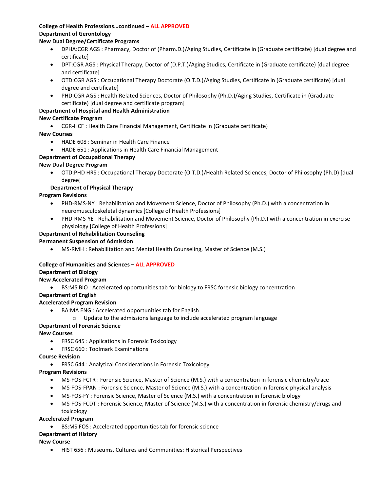## **College of Health Professions…continued – ALL APPROVED Department of Gerontology**

### **New Dual Degree/Certificate Programs**

- • DPHA:CGR AGS : Pharmacy, Doctor of (Pharm.D.)/Aging Studies, Certificate in (Graduate certificate) [dual degree and certificate]
- DPT:CGR AGS : Physical Therapy, Doctor of (D.P.T.)/Aging Studies, Certificate in (Graduate certificate) [dual degree and certificate]
- OTD:CGR AGS : Occupational Therapy Doctorate (O.T.D.)/Aging Studies, Certificate in (Graduate certificate) [dual degree and certificate]
- PHD:CGR AGS : Health Related Sciences, Doctor of Philosophy (Ph.D.)/Aging Studies, Certificate in (Graduate certificate) [dual degree and certificate program]

### **Department of Hospital and Health Administration**

### **New Certificate Program**

• CGR-HCF : Health Care Financial Management, Certificate in (Graduate certificate)

#### **New Courses**

- HADE 608 : Seminar in Health Care Finance
- HADE 651 : Applications in Health Care Financial Management

#### **Department of Occupational Therapy**

#### **New Dual Degree Program**

• OTD:PHD HRS : Occupational Therapy Doctorate (O.T.D.)/Health Related Sciences, Doctor of Philosophy (Ph.D) [dual degree]

### **Department of Physical Therapy**

#### **Program Revisions**

- PHD-RMS-NY : Rehabilitation and Movement Science, Doctor of Philosophy (Ph.D.) with a concentration in neuromusculoskeletal dynamics [College of Health Professions]
- PHD-RMS-YE : Rehabilitation and Movement Science, Doctor of Philosophy (Ph.D.) with a concentration in exercise physiology [College of Health Professions]

#### **Department of Rehabilitation Counseling**

### **Permanent Suspension of Admission**

• MS-RMH : Rehabilitation and Mental Health Counseling, Master of Science (M.S.)

### **College of Humanities and Sciences – ALL APPROVED**

#### **Department of Biology**

#### **New Accelerated Program**

• BS:MS BIO : Accelerated opportunities tab for biology to FRSC forensic biology concentration

#### **Department of English**

#### **Accelerated Program Revision**

- BA:MA ENG : Accelerated opportunities tab for English
	- $\circ$  Update to the admissions language to include accelerated program language

### **Department of Forensic Science**

### **New Courses**

- FRSC 645 : Applications in Forensic Toxicology
- FRSC 660 : Toolmark Examinations

#### **Course Revision**

• FRSC 644 : Analytical Considerations in Forensic Toxicology

#### **Program Revisions**

- MS-FOS-FCTR : Forensic Science, Master of Science (M.S.) with a concentration in forensic chemistry/trace
- MS-FOS-FPAN : Forensic Science, Master of Science (M.S.) with a concentration in forensic physical analysis
- MS-FOS-FY : Forensic Science, Master of Science (M.S.) with a concentration in forensic biology
- MS-FOS-FCDT : Forensic Science, Master of Science (M.S.) with a concentration in forensic chemistry/drugs and toxicology

#### **Accelerated Program**

• BS:MS FOS : Accelerated opportunities tab for forensic science

### **Department of History**

#### **New Course**

• HIST 656 : Museums, Cultures and Communities: Historical Perspectives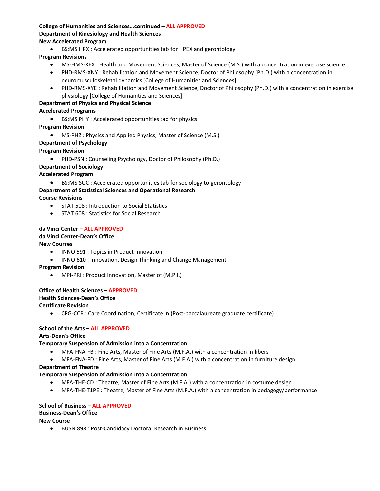#### **College of Humanities and Sciences…continued – ALL APPROVED Department of Kinesiology and Health Sciences New Accelerated Program**

• BS:MS HPX : Accelerated opportunities tab for HPEX and gerontology

#### **Program Revisions**

- MS-HMS-XEX : Health and Movement Sciences, Master of Science (M.S.) with a concentration in exercise science
- PHD-RMS-XNY : Rehabilitation and Movement Science, Doctor of Philosophy (Ph.D.) with a concentration in neuromusculoskeletal dynamics [College of Humanities and Sciences]
- PHD-RMS-XYE : Rehabilitation and Movement Science, Doctor of Philosophy (Ph.D.) with a concentration in exercise physiology [College of Humanities and Sciences]

### **Department of Physics and Physical Science**

#### **Accelerated Programs**

• BS:MS PHY : Accelerated opportunities tab for physics

#### **Program Revision**

• MS-PHZ : Physics and Applied Physics, Master of Science (M.S.)

#### **Department of Psychology**

#### **Program Revision**

• PHD-PSN : Counseling Psychology, Doctor of Philosophy (Ph.D.)

#### **Department of Sociology**

#### **Accelerated Program**

• BS:MS SOC : Accelerated opportunities tab for sociology to gerontology

### **Department of Statistical Sciences and Operational Research**

#### **Course Revisions**

- STAT 508 : Introduction to Social Statistics
- STAT 608 : Statistics for Social Research

#### **da Vinci Center – ALL APPROVED**

### **da Vinci Center-Dean's Office**

#### **New Courses**

- INNO 591 : Topics in Product Innovation
- INNO 610 : Innovation, Design Thinking and Change Management

### **Program Revision**

• MPI-PRI : Product Innovation, Master of (M.P.I.)

#### **Office of Health Sciences – APPROVED Health Sciences-Dean's Office Certificate Revision**

• CPG-CCR : Care Coordination, Certificate in (Post-baccalaureate graduate certificate)

## **School of the Arts – ALL APPROVED**

#### **Arts-Dean's Office**

#### **Temporary Suspension of Admission into a Concentration**

- MFA-FNA-FB : Fine Arts, Master of Fine Arts (M.F.A.) with a concentration in fibers
- MFA-FNA-FD : Fine Arts, Master of Fine Arts (M.F.A.) with a concentration in furniture design

#### **Department of Theatre**

### **Temporary Suspension of Admission into a Concentration**

- MFA-THE-CD : Theatre, Master of Fine Arts (M.F.A.) with a concentration in costume design
- MFA-THE-T1PE : Theatre, Master of Fine Arts (M.F.A.) with a concentration in pedagogy/performance

#### **School of Business – ALL APPROVED**

#### **Business-Dean's Office**

#### **New Course**

• BUSN 898 : Post-Candidacy Doctoral Research in Business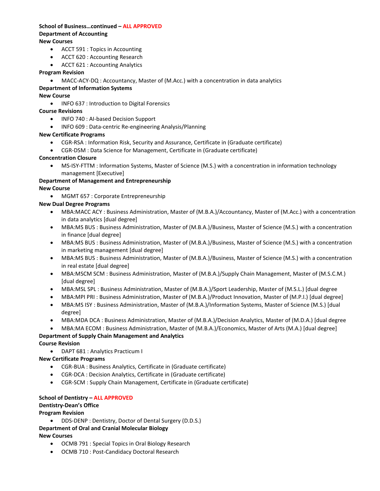#### **School of Business…continued – ALL APPROVED Department of Accounting New Courses**

- ACCT 591 : Topics in Accounting
- ACCT 620 : Accounting Research
- ACCT 621 : Accounting Analytics

#### **Program Revision**

• MACC-ACY-DQ : Accountancy, Master of (M.Acc.) with a concentration in data analytics

### **Department of Information Systems**

#### **New Course**

• INFO 637 : Introduction to Digital Forensics

#### **Course Revisions**

- INFO 740 : AI-based Decision Support
- INFO 609 : Data-centric Re-engineering Analysis/Planning

#### **New Certificate Programs**

- CGR-RSA : Information Risk, Security and Assurance, Certificate in (Graduate certificate)
- CGR-DSM : Data Science for Management, Certificate in (Graduate certificate)

#### **Concentration Closure**

• MS-ISY-FTTM : Information Systems, Master of Science (M.S.) with a concentration in information technology management [Executive]

#### **Department of Management and Entrepreneurship New Course**

• MGMT 657 : Corporate Entrepreneurship

### **New Dual Degree Programs**

- MBA:MACC ACY : Business Administration, Master of (M.B.A.)/Accountancy, Master of (M.Acc.) with a concentration in data analytics [dual degree]
- MBA:MS BUS : Business Administration, Master of (M.B.A.)/Business, Master of Science (M.S.) with a concentration in finance [dual degree]
- MBA:MS BUS : Business Administration, Master of (M.B.A.)/Business, Master of Science (M.S.) with a concentration in marketing management [dual degree]
- MBA:MS BUS : Business Administration, Master of (M.B.A.)/Business, Master of Science (M.S.) with a concentration in real estate [dual degree]
- MBA:MSCM SCM : Business Administration, Master of (M.B.A.)/Supply Chain Management, Master of (M.S.C.M.) [dual degree]
- MBA:MSL SPL : Business Administration, Master of (M.B.A.)/Sport Leadership, Master of (M.S.L.) [dual degree
- MBA:MPI PRI : Business Administration, Master of (M.B.A.)/Product Innovation, Master of (M.P.I.) [dual degree]
- MBA:MS ISY : Business Administration, Master of (M.B.A.)/Information Systems, Master of Science (M.S.) [dual degree]
- MBA:MDA DCA : Business Administration, Master of (M.B.A.)/Decision Analytics, Master of (M.D.A.) [dual degree
- MBA:MA ECOM : Business Administration, Master of (M.B.A.)/Economics, Master of Arts (M.A.) [dual degree]

## **Department of Supply Chain Management and Analytics**

## **Course Revision**

• DAPT 681 : Analytics Practicum I

### **New Certificate Programs**

- CGR-BUA : Business Analytics, Certificate in (Graduate certificate)
- CGR-DCA : Decision Analytics, Certificate in (Graduate certificate)
- CGR-SCM : Supply Chain Management, Certificate in (Graduate certificate)

#### **School of Dentistry – ALL APPROVED**

### **Dentistry-Dean's Office**

### **Program Revision**

• DDS-DENP : Dentistry, Doctor of Dental Surgery (D.D.S.)

## **Department of Oral and Cranial Molecular Biology**

### **New Courses**

- OCMB 791 : Special Topics in Oral Biology Research
- OCMB 710 : Post-Candidacy Doctoral Research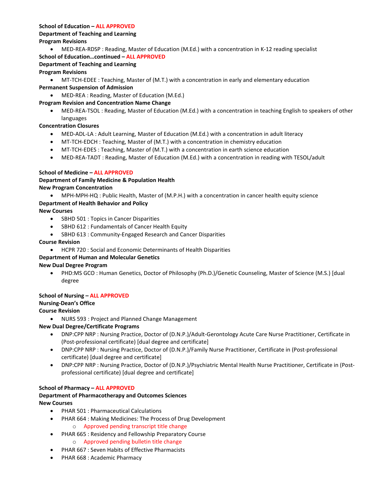## **School of Education – ALL APPROVED**

#### **Department of Teaching and Learning Program Revisions**

• MED-REA-RDSP : Reading, Master of Education (M.Ed.) with a concentration in K-12 reading specialist

## **School of Education…continued – ALL APPROVED**

## **Department of Teaching and Learning**

## **Program Revisions**

• MT-TCH-EDEE : Teaching, Master of (M.T.) with a concentration in early and elementary education

## **Permanent Suspension of Admission**

• MED-REA : Reading, Master of Education (M.Ed.)

## **Program Revision and Concentration Name Change**

• MED-REA-TSOL : Reading, Master of Education (M.Ed.) with a concentration in teaching English to speakers of other languages

## **Concentration Closures**

- MED-ADL-LA : Adult Learning, Master of Education (M.Ed.) with a concentration in adult literacy
- MT-TCH-EDCH : Teaching, Master of (M.T.) with a concentration in chemistry education
- MT-TCH-EDES : Teaching, Master of (M.T.) with a concentration in earth science education
- MED-REA-TADT : Reading, Master of Education (M.Ed.) with a concentration in reading with TESOL/adult

## **School of Medicine – ALL APPROVED**

## **Department of Family Medicine & Population Health New Program Concentration**

• MPH-MPH-HQ : Public Health, Master of (M.P.H.) with a concentration in cancer health equity science

## **Department of Health Behavior and Policy**

## **New Courses**

- SBHD 501 : Topics in Cancer Disparities
- SBHD 612 : Fundamentals of Cancer Health Equity
- SBHD 613 : Community-Engaged Research and Cancer Disparities

## **Course Revision**

• HCPR 720 : Social and Economic Determinants of Health Disparities

## **Department of Human and Molecular Genetics**

## **New Dual Degree Program**

• PHD:MS GCO : Human Genetics, Doctor of Philosophy (Ph.D.)/Genetic Counseling, Master of Science (M.S.) [dual degree

## **School of Nursing – ALL APPROVED**

## **Nursing-Dean's Office**

## **Course Revision**

• NURS 593 : Project and Planned Change Management

## **New Dual Degree/Certificate Programs**

- DNP:CPP NRP : Nursing Practice, Doctor of (D.N.P.)/Adult-Gerontology Acute Care Nurse Practitioner, Certificate in (Post-professional certificate) [dual degree and certificate]
- DNP:CPP NRP : Nursing Practice, Doctor of (D.N.P.)/Family Nurse Practitioner, Certificate in (Post-professional certificate) [dual degree and certificate]
- DNP:CPP NRP : Nursing Practice, Doctor of (D.N.P.)/Psychiatric Mental Health Nurse Practitioner, Certificate in (Postprofessional certificate) [dual degree and certificate]

## **School of Pharmacy – ALL APPROVED**

## **Department of Pharmacotherapy and Outcomes Sciences New Courses**

- PHAR 501 : Pharmaceutical Calculations
- PHAR 664 : Making Medicines: The Process of Drug Development
	- o Approved pending transcript title change
- PHAR 665 : Residency and Fellowship Preparatory Course
	- o Approved pending bulletin title change
- PHAR 667 : Seven Habits of Effective Pharmacists
- PHAR 668 : Academic Pharmacy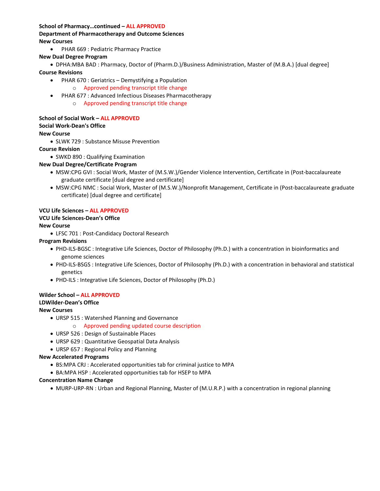#### **School of Pharmacy…continued – ALL APPROVED**

#### **Department of Pharmacotherapy and Outcome Sciences New Courses**

• PHAR 669 : Pediatric Pharmacy Practice

#### **New Dual Degree Program**

• DPHA:MBA BAD : Pharmacy, Doctor of (Pharm.D.)/Business Administration, Master of (M.B.A.) [dual degree] **Course Revisions** 

- • PHAR 670 : Geriatrics Demystifying a Population
	- o Approved pending transcript title change
- PHAR 677 : Advanced Infectious Diseases Pharmacotherapy
	- o Approved pending transcript title change

#### **School of Social Work – ALL APPROVED Social Work-Dean's Office**

#### **New Course**

• SLWK 729 : Substance Misuse Prevention

#### **Course Revision**

• SWKD 890 : Qualifying Examination

### **New Dual Degree/Certificate Program**

- MSW:CPG GVI : Social Work, Master of (M.S.W.)/Gender Violence Intervention, Certificate in (Post-baccalaureate graduate certificate [dual degree and certificate]
- MSW:CPG NMC : Social Work, Master of (M.S.W.)/Nonprofit Management, Certificate in (Post-baccalaureate graduate certificate) [dual degree and certificate]

#### **VCU Life Sciences – ALL APPROVED**

#### **VCU Life Sciences-Dean's Office**

#### **New Course**

• LFSC 701 : Post-Candidacy Doctoral Research

#### **Program Revisions**

- PHD-ILS-BGSC : Integrative Life Sciences, Doctor of Philosophy (Ph.D.) with a concentration in bioinformatics and genome sciences
- PHD-ILS-BSGS : Integrative Life Sciences, Doctor of Philosophy (Ph.D.) with a concentration in behavioral and statistical genetics
- PHD-ILS : Integrative Life Sciences, Doctor of Philosophy (Ph.D.)

## **Wilder School – ALL APPROVED**

#### **LDWilder-Dean's Office**

### **New Courses**

- URSP 515 : Watershed Planning and Governance
- o Approved pending updated course description
- URSP 526 : Design of Sustainable Places
- URSP 629 : Quantitative Geospatial Data Analysis
- URSP 657 : Regional Policy and Planning

#### **New Accelerated Programs**

- BS:MPA CRJ : Accelerated opportunities tab for criminal justice to MPA
- BA:MPA HSP : Accelerated opportunities tab for HSEP to MPA

#### **Concentration Name Change**

• MURP-URP-RN : Urban and Regional Planning, Master of (M.U.R.P.) with a concentration in regional planning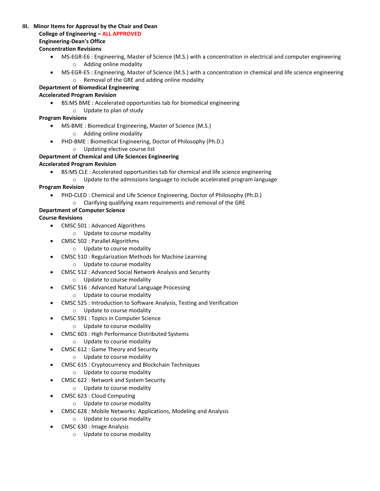## **III. Minor Items for Approval by the Chair and Dean**

### **College of Engineering – ALL APPROVED**

## **Engineering-Dean's Office**

### **Concentration Revisions**

- MS-EGR-E6 : Engineering, Master of Science (M.S.) with a concentration in electrical and computer engineering o Adding online modality
- MS-EGR-E5 : Engineering, Master of Science (M.S.) with a concentration in chemical and life science engineering o Removal of the GRE and adding online modality

## **Department of Biomedical Engineering**

## **Accelerated Program Revision**

- BS:MS BME : Accelerated opportunities tab for biomedical engineering
- o Update to plan of study

## **Program Revisions**

- MS-BME : Biomedical Engineering, Master of Science (M.S.)
	- o Adding online modality
- PHD-BME : Biomedical Engineering, Doctor of Philosophy (Ph.D.)
	- o Updating elective course list

## **Department of Chemical and Life Sciences Engineering**

## **Accelerated Program Revision**

- BS:MS CLE : Accelerated opportunities tab for chemical and life science engineering
	- o Update to the admissions language to include accelerated program language

## **Program Revision**

- PHD-CLED : Chemical and Life Science Engineering, Doctor of Philosophy (Ph.D.)
- o Clarifying qualifying exam requirements and removal of the GRE

## **Department of Computer Science**

- CMSC 501 : Advanced Algorithms
	- o Update to course modality
- CMSC 502 : Parallel Algorithms
	- o Update to course modality
- CMSC 510 : Regularization Methods for Machine Learning
	- o Update to course modality
- CMSC 512 : Advanced Social Network Analysis and Security
	- o Update to course modality
- CMSC 516 : Advanced Natural Language Processing
	- o Update to course modality
- CMSC 525 : Introduction to Software Analysis, Testing and Verification
	- o Update to course modality
- • CMSC 591 : Topics in Computer Science
	- o Update to course modality
- CMSC 603 : High Performance Distributed Systems
	- o Update to course modality
- • CMSC 612 : Game Theory and Security
	- o Update to course modality
- CMSC 615 : Cryptocurrency and Blockchain Techniques
	- o Update to course modality
- CMSC 622 : Network and System Security
	- o Update to course modality
- CMSC 623 : Cloud Computing
	- o Update to course modality
- CMSC 628 : Mobile Networks: Applications, Modeling and Analysis
	- o Update to course modality
- CMSC 630 : Image Analysis
	- o Update to course modality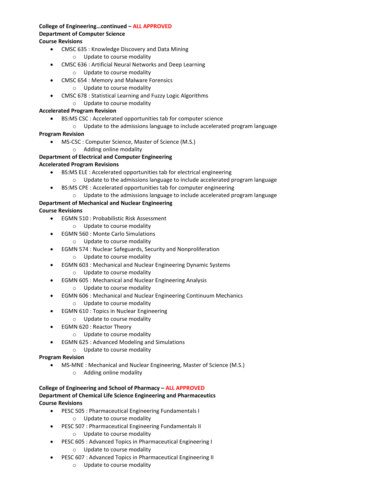#### **College of Engineering…continued – ALL APPROVED Department of Computer Science Course Revisions**

- CMSC 635 : Knowledge Discovery and Data Mining
	- o Update to course modality
- CMSC 636 : Artificial Neural Networks and Deep Learning
	- o Update to course modality
- CMSC 654 : Memory and Malware Forensics
	- o Update to course modality
- CMSC 678 : Statistical Learning and Fuzzy Logic Algorithms
	- o Update to course modality

#### **Accelerated Program Revision**

- • BS:MS CSC : Accelerated opportunities tab for computer science
	- o Update to the admissions language to include accelerated program language

#### **Program Revision**

- MS-CSC : Computer Science, Master of Science (M.S.)
	- o Adding online modality

## **Department of Electrical and Computer Engineering**

#### **Accelerated Program Revisions**

- BS:MS ELE : Accelerated opportunities tab for electrical engineering
	- $\circ$  Update to the admissions language to include accelerated program language
- BS:MS CPE : Accelerated opportunities tab for computer engineering
	- o Update to the admissions language to include accelerated program language

## **Department of Mechanical and Nuclear Engineering**

**Course Revisions** 

- EGMN 510 : Probabilistic Risk Assessment
	- o Update to course modality
- EGMN 560 : Monte Carlo Simulations
	- o Update to course modality
- EGMN 574 : Nuclear Safeguards, Security and Nonproliferation
	- o Update to course modality
- EGMN 603 : Mechanical and Nuclear Engineering Dynamic Systems
	- o Update to course modality
- EGMN 605 : Mechanical and Nuclear Engineering Analysis
	- o Update to course modality
- EGMN 606 : Mechanical and Nuclear Engineering Continuum Mechanics
	- o Update to course modality
- EGMN 610 : Topics in Nuclear Engineering
	- o Update to course modality
- EGMN 620 : Reactor Theory
	- o Update to course modality
- EGMN 625 : Advanced Modeling and Simulations
	- o Update to course modality

### **Program Revision**

- MS-MNE : Mechanical and Nuclear Engineering, Master of Science (M.S.)
	- o Adding online modality

#### **College of Engineering and School of Pharmacy – ALL APPROVED Department of Chemical Life Science Engineering and Pharmaceutics Course Revisions**

- PESC 505 : Pharmaceutical Engineering Fundamentals I
	- o Update to course modality
- PESC 507 : Pharmaceutical Engineering Fundamentals II
	- o Update to course modality
- PESC 605 : Advanced Topics in Pharmaceutical Engineering I o Update to course modality
- PESC 607 : Advanced Topics in Pharmaceutical Engineering II
	- o Update to course modality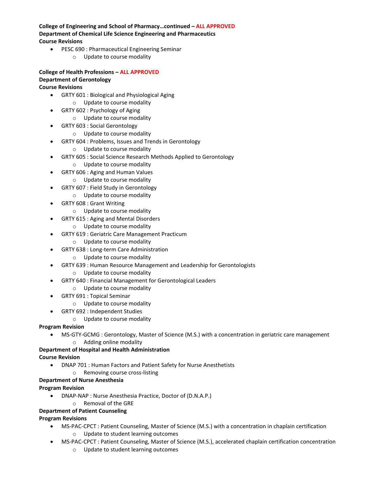### **College of Engineering and School of Pharmacy…continued – ALL APPROVED Department of Chemical Life Science Engineering and Pharmaceutics Course Revisions**

- PESC 690 : Pharmaceutical Engineering Seminar
	- o Update to course modality

## **College of Health Professions – ALL APPROVED Department of Gerontology**

## **Course Revisions**

- GRTY 601 : Biological and Physiological Aging
	- o Update to course modality
- GRTY 602 : Psychology of Aging
	- o Update to course modality
- GRTY 603 : Social Gerontology
	- o Update to course modality
- GRTY 604 : Problems, Issues and Trends in Gerontology
	- o Update to course modality
- GRTY 605 : Social Science Research Methods Applied to Gerontology
	- o Update to course modality
- GRTY 606 : Aging and Human Values
	- o Update to course modality
- GRTY 607 : Field Study in Gerontology
	- o Update to course modality
- GRTY 608 : Grant Writing
	- o Update to course modality
- GRTY 615 : Aging and Mental Disorders
	- o Update to course modality
- GRTY 619 : Geriatric Care Management Practicum
	- o Update to course modality
- GRTY 638 : Long-term Care Administration
	- o Update to course modality
- GRTY 639 : Human Resource Management and Leadership for Gerontologists
	- o Update to course modality
- GRTY 640 : Financial Management for Gerontological Leaders
	- o Update to course modality
- GRTY 691 : Topical Seminar
	- o Update to course modality
- GRTY 692 : Independent Studies
	- o Update to course modality

### **Program Revision**

- MS-GTY-GCMG : Gerontology, Master of Science (M.S.) with a concentration in geriatric care management
	- o Adding online modality

## **Department of Hospital and Health Administration**

#### **Course Revision**

- DNAP 701 : Human Factors and Patient Safety for Nurse Anesthetists
	- o Removing course cross-listing

### **Department of Nurse Anesthesia**

### **Program Revision**

- DNAP-NAP : Nurse Anesthesia Practice, Doctor of (D.N.A.P.)
	- o Removal of the GRE

### **Department of Patient Counseling**

### **Program Revisions**

- MS-PAC-CPCT : Patient Counseling, Master of Science (M.S.) with a concentration in chaplain certification
	- o Update to student learning outcomes
- MS-PAC-CPCT : Patient Counseling, Master of Science (M.S.), accelerated chaplain certification concentration
	- o Update to student learning outcomes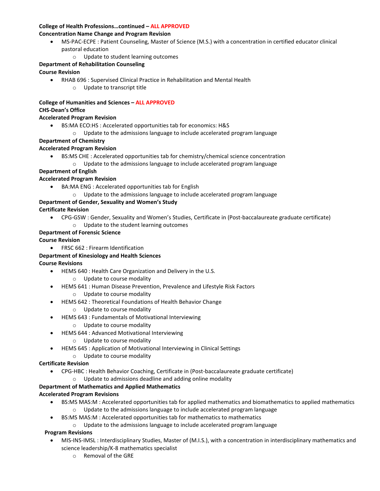#### **College of Health Professions…continued – ALL APPROVED**

## **Concentration Name Change and Program Revision**

- MS-PAC-ECPE : Patient Counseling, Master of Science (M.S.) with a concentration in certified educator clinical pastoral education
	- o Update to student learning outcomes

## **Department of Rehabilitation Counseling**

## **Course Revision**

- • RHAB 696 : Supervised Clinical Practice in Rehabilitation and Mental Health
	- o Update to transcript title

## **College of Humanities and Sciences – ALL APPROVED**

## **CHS-Dean's Office**

## **Accelerated Program Revision**

- BS:MA ECO:HS : Accelerated opportunities tab for economics: H&S
	- o Update to the admissions language to include accelerated program language

## **Department of Chemistry**

## **Accelerated Program Revision**

- BS:MS CHE : Accelerated opportunities tab for chemistry/chemical science concentration
	- o Update to the admissions language to include accelerated program language
- **Department of English**

## **Accelerated Program Revision**

- BA:MA ENG : Accelerated opportunities tab for English
	- o Update to the admissions language to include accelerated program language

## **Department of Gender, Sexuality and Women's Study**

**Certificate Revision** 

• CPG-GSW : Gender, Sexuality and Women's Studies, Certificate in (Post-baccalaureate graduate certificate) o Update to the student learning outcomes

## **Department of Forensic Science**

## **Course Revision**

• FRSC 662 : Firearm Identification

## **Department of Kinesiology and Health Sciences**

## **Course Revisions**

- HEMS 640 : Health Care Organization and Delivery in the U.S.
	- o Update to course modality
- HEMS 641 : Human Disease Prevention, Prevalence and Lifestyle Risk Factors
	- o Update to course modality
- HEMS 642 : Theoretical Foundations of Health Behavior Change
	- o Update to course modality
- HEMS 643 : Fundamentals of Motivational Interviewing
	- o Update to course modality
- HEMS 644 : Advanced Motivational Interviewing
	- o Update to course modality
- HEMS 645 : Application of Motivational Interviewing in Clinical Settings
	- o Update to course modality

## **Certificate Revision**

- CPG-HBC : Health Behavior Coaching, Certificate in (Post-baccalaureate graduate certificate)
	- o Update to admissions deadline and adding online modality

## **Department of Mathematics and Applied Mathematics**

## **Accelerated Program Revisions**

- $\circ$  Update to the admissions language to include accelerated program language • BS:MS MAS:M : Accelerated opportunities tab for applied mathematics and biomathematics to applied mathematics
	- BS:MS MAS:M : Accelerated opportunities tab for mathematics to mathematics
		- o Update to the admissions language to include accelerated program language

## **Program Revisions**

- MIS-INS-IMSL : Interdisciplinary Studies, Master of (M.I.S.), with a concentration in interdisciplinary mathematics and science leadership/K-8 mathematics specialist
	- o Removal of the GRE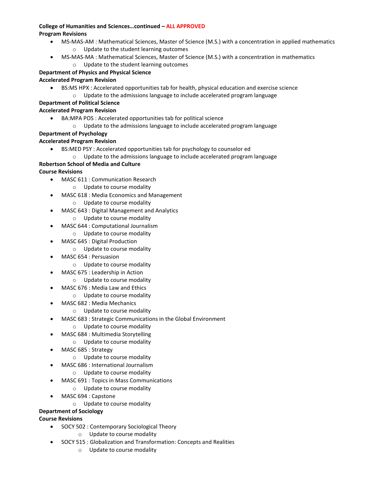#### **College of Humanities and Sciences…continued –ALL APPROVED Program Revisions**

- MS-MAS-AM : Mathematical Sciences, Master of Science (M.S.) with a concentration in applied mathematics o Update to the student learning outcomes
- MS-MAS-MA : Mathematical Sciences, Master of Science (M.S.) with a concentration in mathematics
	- o Update to the student learning outcomes

## **Department of Physics and Physical Science**

## **Accelerated Program Revision**

- BS:MS HPX : Accelerated opportunities tab for health, physical education and exercise science
	- o Update to the admissions language to include accelerated program language

## **Department of Political Science**

### **Accelerated Program Revision**

- BA:MPA POS : Accelerated opportunities tab for political science
	- o Update to the admissions language to include accelerated program language

## **Department of Psychology**

## **Accelerated Program Revision**

- BS:MED PSY : Accelerated opportunities tab for psychology to counselor ed
	- o Update to the admissions language to include accelerated program language

## **Robertson School of Media and Culture**

## **Course Revisions**

- MASC 611 : Communication Research
	- o Update to course modality
- MASC 618 : Media Economics and Management
	- o Update to course modality
- MASC 643 : Digital Management and Analytics
	- o Update to course modality
- MASC 644 : Computational Journalism
	- o Update to course modality
- MASC 645 : Digital Production
	- o Update to course modality
- MASC 654 : Persuasion
	- o Update to course modality
	- MASC 675 : Leadership in Action
		- o Update to course modality
- MASC 676 : Media Law and Ethics
	- o Update to course modality
- MASC 682 : Media Mechanics
	- o Update to course modality
- MASC 683 : Strategic Communications in the Global Environment
	- o Update to course modality
- MASC 684 : Multimedia Storytelling
	- o Update to course modality
- MASC 685 : Strategy
	- o Update to course modality
	- MASC 686 : International Journalism
		- o Update to course modality
- MASC 691 : Topics in Mass Communications
	- o Update to course modality
- MASC 694 : Capstone
	- o Update to course modality

## **Department of Sociology**

- SOCY 502 : Contemporary Sociological Theory
	- o Update to course modality
- SOCY 515 : Globalization and Transformation: Concepts and Realities
	- o Update to course modality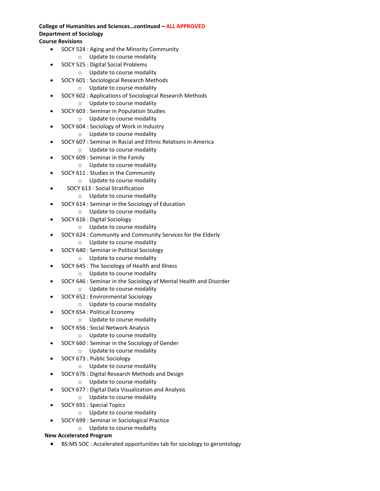## **College of Humanities and Sciences…continued – ALL APPROVED Department of Sociology**

## **Course Revisions**

- SOCY 524 : Aging and the Minority Community
	- o Update to course modality
- SOCY 525 : Digital Social Problems
	- o Update to course modality
- SOCY 601 : Sociological Research Methods
	- o Update to course modality
- SOCY 602 : Applications of Sociological Research Methods o Update to course modality
- SOCY 603 : Seminar in Population Studies
	- o Update to course modality
- SOCY 604 : Sociology of Work in Industry
	- o Update to course modality
- SOCY 607 : Seminar in Racial and Ethnic Relations in America
- o Update to course modality
- SOCY 609 : Seminar in the Family
	- o Update to course modality
- SOCY 611 : Studies in the Community
	- o Update to course modality
- SOCY 613 : Social Stratification
	- o Update to course modality
- SOCY 614 : Seminar in the Sociology of Education
	- o Update to course modality
- SOCY 616 : Digital Sociology
	- o Update to course modality
- SOCY 624 : Community and Community Services for the Elderly
	- o Update to course modality
- SOCY 640 : Seminar in Political Sociology
	- o Update to course modality
- SOCY 645 : The Sociology of Health and Illness
	- o Update to course modality
- SOCY 646 : Seminar in the Sociology of Mental Health and Disorder
	- o Update to course modality
- SOCY 652 : Environmental Sociology
	- o Update to course modality
- SOCY 654 : Political Economy
	- o Update to course modality
- SOCY 656 : Social Network Analysis
	- o Update to course modality
- SOCY 660 : Seminar in the Sociology of Gender
	- o Update to course modality
- SOCY 673 : Public Sociology
	- o Update to course modality
- SOCY 676 : Digital Research Methods and Design
	- o Update to course modality
- SOCY 677 : Digital Data Visualization and Analysis
	- o Update to course modality
- SOCY 691 : Special Topics
	- o Update to course modality
- SOCY 699 : Seminar in Sociological Practice
	- o Update to course modality

### **New Accelerated Program**

• BS:MS SOC : Accelerated opportunities tab for sociology to gerontology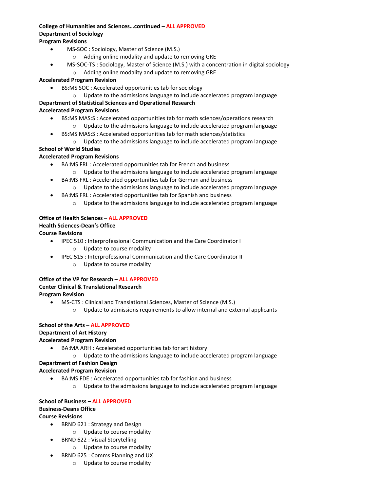## **College of Humanities and Sciences…continued – ALL APPROVED Department of Sociology**

## **Program Revisions**

- MS-SOC : Sociology, Master of Science (M.S.)
	- o Adding online modality and update to removing GRE
- MS-SOC-TS : Sociology, Master of Science (M.S.) with a concentration in digital sociology o Adding online modality and update to removing GRE

#### **Accelerated Program Revision**

- BS:MS SOC : Accelerated opportunities tab for sociology
	- o Update to the admissions language to include accelerated program language

#### **Department of Statistical Sciences and Operational Research Accelerated Program Revisions**

- BS:MS MAS:S : Accelerated opportunities tab for math sciences/operations research
	- o Update to the admissions language to include accelerated program language
- BS:MS MAS:S : Accelerated opportunities tab for math sciences/statistics
- o Update to the admissions language to include accelerated program language

#### **School of World Studies**

### **Accelerated Program Revisions**

- BA:MS FRL : Accelerated opportunities tab for French and business
	- o Update to the admissions language to include accelerated program language
- BA:MS FRL : Accelerated opportunities tab for German and business
	- o Update to the admissions language to include accelerated program language
- BA:MS FRL : Accelerated opportunities tab for Spanish and business
	- $\circ$  Update to the admissions language to include accelerated program language

#### **Office of Health Sciences – ALL APPROVED Health Sciences-Dean's Office**

### **Course Revisions**

- IPEC 510 : Interprofessional Communication and the Care Coordinator I o Update to course modality
- IPEC 515 : Interprofessional Communication and the Care Coordinator II
	- o Update to course modality

## **Office of the VP for Research – ALL APPROVED Center Clinical & Translational Research Program Revision**

- MS-CTS : Clinical and Translational Sciences, Master of Science (M.S.)
	- o Update to admissions requirements to allow internal and external applicants

## **School of the Arts – ALL APPROVED Department of Art History**

## **Accelerated Program Revision**

- BA:MA ARH : Accelerated opportunities tab for art history
	- o Update to the admissions language to include accelerated program language

### **Department of Fashion Design**

### **Accelerated Program Revision**

- BA:MS FDE : Accelerated opportunities tab for fashion and business
	- $\circ$  Update to the admissions language to include accelerated program language

#### **School of Business – ALL APPROVED Business-Deans Office Course Revisions**

- BRND 621 : Strategy and Design
	- o Update to course modality
- BRND 622 : Visual Storytelling
	- o Update to course modality
- BRND 625 : Comms Planning and UX
	- o Update to course modality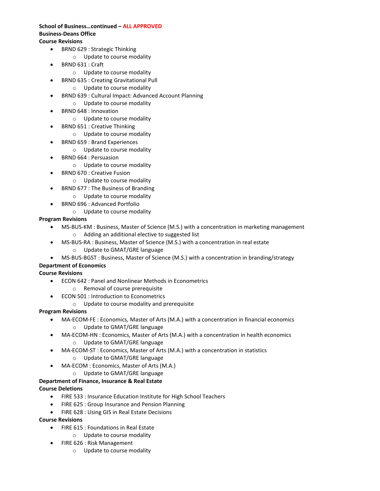#### **School of Business…continued – ALL APPROVED Business-Deans Office Course Revisions**

- BRND 629 : Strategic Thinking
	- o Update to course modality
- BRND 631 : Craft
	- o Update to course modality
	- BRND 635 : Creating Gravitational Pull
		- o Update to course modality
- BRND 639 : Cultural Impact: Advanced Account Planning
	- o Update to course modality
- BRND 648 : Innovation
	- o Update to course modality
- • BRND 651 : Creative Thinking
	- o Update to course modality
- BRND 659 : Brand Experiences
	- o Update to course modality
- BRND 664 : Persuasion
	- o Update to course modality
- BRND 670 : Creative Fusion
	- o Update to course modality
- BRND 677 : The Business of Branding
	- o Update to course modality
- BRND 696 : Advanced Portfolio
	- o Update to course modality

#### **Program Revisions**

- MS-BUS-KM : Business, Master of Science (M.S.) with a concentration in marketing management o Adding an additional elective to suggested list
- MS-BUS-RA : Business, Master of Science (M.S.) with a concentration in real estate
	- o Update to GMAT/GRE language
- MS-BUS-BGST : Business, Master of Science (M.S.) with a concentration in branding/strategy

#### **Department of Economics**

### **Course Revisions**

- ECON 642 : Panel and Nonlinear Methods in Econometrics
	- o Removal of course prerequisite
- ECON 501 : Introduction to Econometrics
	- o Update to course modality and prerequisite

#### **Program Revisions**

- MA-ECOM-FE : Economics, Master of Arts (M.A.) with a concentration in financial economics o Update to GMAT/GRE language
- MA-ECOM-HN : Economics, Master of Arts (M.A.) with a concentration in health economics
	- o Update to GMAT/GRE language
- MA-ECOM-ST : Economics, Master of Arts (M.A.) with a concentration in statistics o Update to GMAT/GRE language
	-
- MA-ECOM : Economics, Master of Arts (M.A.)
	- o Update to GMAT/GRE language

## **Department of Finance, Insurance & Real Estate**

### **Course Deletions**

- FIRE 533 : Insurance Education Institute for High School Teachers
- FIRE 625 : Group Insurance and Pension Planning
- FIRE 628 : Using GIS in Real Estate Decisions

- FIRE 615 : Foundations in Real Estate
	- o Update to course modality
- FIRE 626 : Risk Management
	- o Update to course modality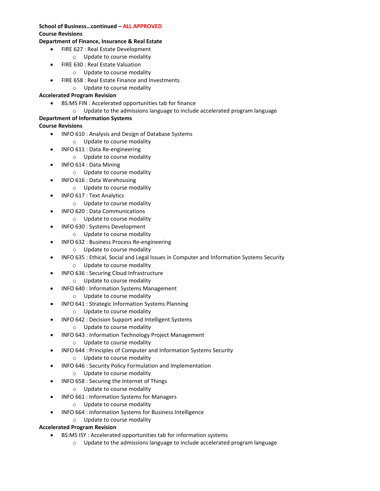### **School of Business…continued – ALL APPROVED Course Revisions**

### **Department of Finance, Insurance & Real Estate**

- FIRE 627 : Real Estate Development
	- o Update to course modality
- FIRE 630 : Real Estate Valuation
	- o Update to course modality
	- FIRE 658 : Real Estate Finance and Investments
	- o Update to course modality

#### **Accelerated Program Revision**

- BS:MS FIN : Accelerated opportunities tab for finance
- $\circ$  Update to the admissions language to include accelerated program language

## **Department of Information Systems**

### **Course Revisions**

- INFO 610 : Analysis and Design of Database Systems
	- o Update to course modality
- INFO 611 : Data Re-engineering
	- o Update to course modality
- INFO 614 : Data Mining
	- o Update to course modality
- INFO 616 : Data Warehousing
	- o Update to course modality
- INFO 617 : Text Analytics
	- o Update to course modality
- INFO 620 : Data Communications
	- o Update to course modality
- INFO 630 : Systems Development
	- o Update to course modality
- INFO 632 : Business Process Re-engineering
	- o Update to course modality
- INFO 635 : Ethical, Social and Legal Issues in Computer and Information Systems Security
	- o Update to course modality
- INFO 636 : Securing Cloud Infrastructure
	- o Update to course modality
- INFO 640 : Information Systems Management
	- o Update to course modality
- INFO 641 : Strategic Information Systems Planning
	- o Update to course modality
- INFO 642 : Decision Support and Intelligent Systems
	- o Update to course modality
- INFO 643 : Information Technology Project Management
	- o Update to course modality
- INFO 644 : Principles of Computer and Information Systems Security
	- o Update to course modality
- INFO 646 : Security Policy Formulation and Implementation
	- o Update to course modality
- INFO 658 : Securing the Internet of Things
	- o Update to course modality
- INFO 661 : Information Systems for Managers
	- o Update to course modality
- • INFO 664 : Information Systems for Business Intelligence
	- o Update to course modality

### **Accelerated Program Revision**

- BS:MS ISY : Accelerated opportunities tab for information systems
	- o Update to the admissions language to include accelerated program language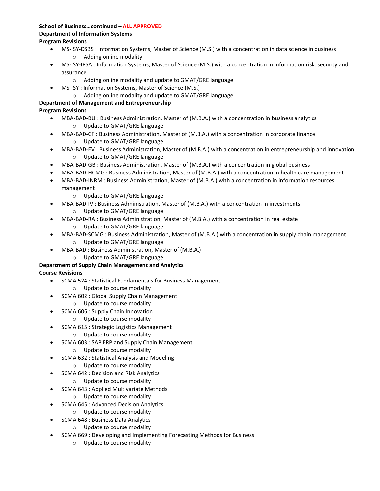#### **School of Business…continued – ALL APPROVED Department of Information Systems Program Revisions**

- MS-ISY-DSBS : Information Systems, Master of Science (M.S.) with a concentration in data science in business
	- o Adding online modality
- MS-ISY-IRSA : Information Systems, Master of Science (M.S.) with a concentration in information risk, security and assurance
	- o Adding online modality and update to GMAT/GRE language
- MS-ISY : Information Systems, Master of Science (M.S.)
	- o Adding online modality and update to GMAT/GRE language

## **Department of Management and Entrepreneurship**

## **Program Revisions**

- MBA-BAD-BU : Business Administration, Master of (M.B.A.) with a concentration in business analytics o Update to GMAT/GRE language
- MBA-BAD-CF : Business Administration, Master of (M.B.A.) with a concentration in corporate finance o Update to GMAT/GRE language
- MBA-BAD-EV : Business Administration, Master of (M.B.A.) with a concentration in entrepreneurship and innovation o Update to GMAT/GRE language
- MBA-BAD-GB : Business Administration, Master of (M.B.A.) with a concentration in global business
- MBA-BAD-HCMG : Business Administration, Master of (M.B.A.) with a concentration in health care management
- MBA-BAD-INRM : Business Administration, Master of (M.B.A.) with a concentration in information resources management
	- o Update to GMAT/GRE language
- • MBA-BAD-IV : Business Administration, Master of (M.B.A.) with a concentration in investments o Update to GMAT/GRE language
- MBA-BAD-RA : Business Administration, Master of (M.B.A.) with a concentration in real estate
	- o Update to GMAT/GRE language
- • MBA-BAD-SCMG : Business Administration, Master of (M.B.A.) with a concentration in supply chain management o Update to GMAT/GRE language
- MBA-BAD : Business Administration, Master of (M.B.A.)
	- o Update to GMAT/GRE language

## **Department of Supply Chain Management and Analytics**

- SCMA 524 : Statistical Fundamentals for Business Management
	- o Update to course modality
- SCMA 602 : Global Supply Chain Management
	- o Update to course modality
- SCMA 606 : Supply Chain Innovation
	- o Update to course modality
- SCMA 615 : Strategic Logistics Management
	- o Update to course modality
- SCMA 603 : SAP ERP and Supply Chain Management
	- o Update to course modality
- SCMA 632 : Statistical Analysis and Modeling
	- o Update to course modality
- SCMA 642 : Decision and Risk Analytics
	- o Update to course modality
- SCMA 643 : Applied Multivariate Methods
	- o Update to course modality
- SCMA 645 : Advanced Decision Analytics
	- o Update to course modality
- SCMA 648 : Business Data Analytics
	- o Update to course modality
- SCMA 669 : Developing and Implementing Forecasting Methods for Business
	- o Update to course modality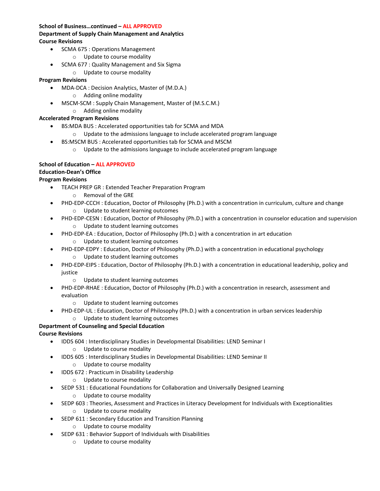### **School of Business…continued – ALL APPROVED**

### **Department of Supply Chain Management and Analytics Course Revisions**

- SCMA 675 : Operations Management
	- o Update to course modality
- SCMA 677 : Quality Management and Six Sigma
	- o Update to course modality

### **Program Revisions**

- MDA-DCA : Decision Analytics, Master of (M.D.A.)
	- o Adding online modality
- MSCM-SCM : Supply Chain Management, Master of (M.S.C.M.)
	- o Adding online modality

#### **Accelerated Program Revisions**

- BS:MDA BUS : Accelerated opportunities tab for SCMA and MDA
	- $\circ$  Update to the admissions language to include accelerated program language
- BS:MSCM BUS : Accelerated opportunities tab for SCMA and MSCM
	- o Update to the admissions language to include accelerated program language

### **School of Education – ALL APPROVED**

### **Education-Dean's Office**

### **Program Revisions**

- TEACH PREP GR : Extended Teacher Preparation Program
	- o Removal of the GRE
- PHD-EDP-CCCH : Education, Doctor of Philosophy (Ph.D.) with a concentration in curriculum, culture and change o Update to student learning outcomes
- PHD-EDP-CESN : Education, Doctor of Philosophy (Ph.D.) with a concentration in counselor education and supervision o Update to student learning outcomes
- PHD-EDP-EA : Education, Doctor of Philosophy (Ph.D.) with a concentration in art education
	- o Update to student learning outcomes
- PHD-EDP-EDPY : Education, Doctor of Philosophy (Ph.D.) with a concentration in educational psychology o Update to student learning outcomes
- PHD-EDP-EIPS : Education, Doctor of Philosophy (Ph.D.) with a concentration in educational leadership, policy and justice
	- o Update to student learning outcomes
- PHD-EDP-RHAE : Education, Doctor of Philosophy (Ph.D.) with a concentration in research, assessment and evaluation
	- o Update to student learning outcomes
- PHD-EDP-UL : Education, Doctor of Philosophy (Ph.D.) with a concentration in urban services leadership

#### o Update to student learning outcomes **Department of Counseling and Special Education**

- IDDS 604 : Interdisciplinary Studies in Developmental Disabilities: LEND Seminar I
	- o Update to course modality
- IDDS 605 : Interdisciplinary Studies in Developmental Disabilities: LEND Seminar II
	- o Update to course modality
- IDDS 672 : Practicum in Disability Leadership
	- o Update to course modality
- SEDP 531 : Educational Foundations for Collaboration and Universally Designed Learning
	- o Update to course modality
- SEDP 603 : Theories, Assessment and Practices in Literacy Development for Individuals with Exceptionalities o Update to course modality
- SEDP 611 : Secondary Education and Transition Planning
	- o Update to course modality
- SEDP 631 : Behavior Support of Individuals with Disabilities
	- o Update to course modality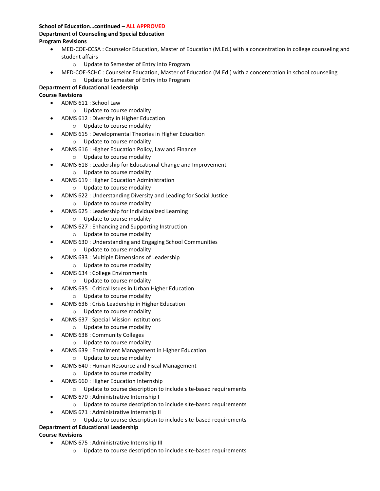### **School of Education…continued – ALL APPROVED Department of Counseling and Special Education Program Revisions**

- MED-COE-CCSA : Counselor Education, Master of Education (M.Ed.) with a concentration in college counseling and student affairs
	- o Update to Semester of Entry into Program
- MED-COE-SCHC : Counselor Education, Master of Education (M.Ed.) with a concentration in school counseling o Update to Semester of Entry into Program

### **Department of Educational Leadership**

### **Course Revisions**

- ADMS 611 : School Law
	- o Update to course modality
- ADMS 612 : Diversity in Higher Education
	- o Update to course modality
- ADMS 615 : Developmental Theories in Higher Education
	- o Update to course modality
- ADMS 616 : Higher Education Policy, Law and Finance
	- o Update to course modality
- ADMS 618 : Leadership for Educational Change and Improvement
	- o Update to course modality
- ADMS 619 : Higher Education Administration
	- o Update to course modality
- ADMS 622 : Understanding Diversity and Leading for Social Justice
	- o Update to course modality
- ADMS 625 : Leadership for Individualized Learning
	- o Update to course modality
- ADMS 627 : Enhancing and Supporting Instruction
	- o Update to course modality
- ADMS 630 : Understanding and Engaging School Communities
	- o Update to course modality
- ADMS 633 : Multiple Dimensions of Leadership
	- o Update to course modality
- ADMS 634 : College Environments
	- o Update to course modality
- ADMS 635 : Critical Issues in Urban Higher Education
	- o Update to course modality
- ADMS 636 : Crisis Leadership in Higher Education
	- o Update to course modality
- ADMS 637 : Special Mission Institutions
	- o Update to course modality
- ADMS 638 : Community Colleges
	- o Update to course modality
- ADMS 639 : Enrollment Management in Higher Education
	- o Update to course modality
- ADMS 640 : Human Resource and Fiscal Management
	- o Update to course modality
- ADMS 660 : Higher Education Internship
	- o Update to course description to include site-based requirements
- ADMS 670 : Administrative Internship I
	- o Update to course description to include site-based requirements
- ADMS 671 : Administrative Internship II
	- o Update to course description to include site-based requirements

### **Department of Educational Leadership**

- ADMS 675 : Administrative Internship III
	- o Update to course description to include site-based requirements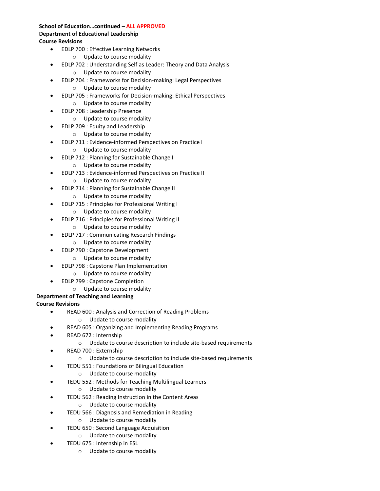#### **School of Education…continued – ALL APPROVED Department of Educational Leadership Course Revisions**

- EDLP 700 : Effective Learning Networks
	- o Update to course modality
- EDLP 702 : Understanding Self as Leader: Theory and Data Analysis
	- o Update to course modality
- EDLP 704 : Frameworks for Decision-making: Legal Perspectives o Update to course modality
- EDLP 705 : Frameworks for Decision-making: Ethical Perspectives
	- o Update to course modality
- EDLP 708 : Leadership Presence
	- o Update to course modality
- EDLP 709 : Equity and Leadership
	- o Update to course modality
	- EDLP 711 : Evidence-informed Perspectives on Practice I
		- o Update to course modality
- EDLP 712 : Planning for Sustainable Change I
	- o Update to course modality
- EDLP 713 : Evidence-informed Perspectives on Practice II
	- o Update to course modality
- EDLP 714 : Planning for Sustainable Change II
	- o Update to course modality
- EDLP 715 : Principles for Professional Writing I
	- o Update to course modality
- EDLP 716 : Principles for Professional Writing II
	- o Update to course modality
- EDLP 717 : Communicating Research Findings
	- o Update to course modality
- EDLP 790 : Capstone Development
	- o Update to course modality
- EDLP 798 : Capstone Plan Implementation
- o Update to course modality
- EDLP 799 : Capstone Completion
	- o Update to course modality

## **Department of Teaching and Learning**

- READ 600 : Analysis and Correction of Reading Problems
	- o Update to course modality
	- READ 605 : Organizing and Implementing Reading Programs
- READ 672 : Internship
	- o Update to course description to include site-based requirements
- READ 700 : Externship
	- o Update to course description to include site-based requirements
- • TEDU 551 : Foundations of Bilingual Education
	- o Update to course modality
- TEDU 552 : Methods for Teaching Multilingual Learners
	- o Update to course modality
- TEDU 562 : Reading Instruction in the Content Areas
	- o Update to course modality
- TEDU 566 : Diagnosis and Remediation in Reading
	- o Update to course modality
- TEDU 650 : Second Language Acquisition
	- o Update to course modality
- TEDU 675 : Internship in ESL
	- o Update to course modality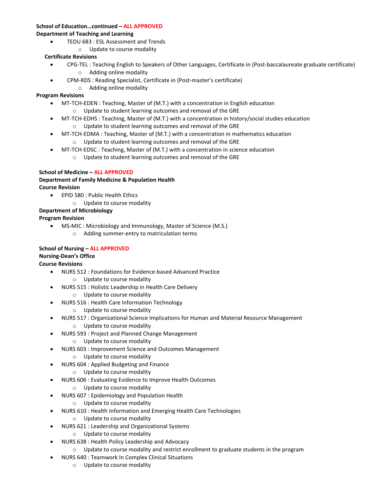#### **School of Education…continued – ALL APPROVED**

#### **Department of Teaching and Learning**

- TEDU 683 : ESL Assessment and Trends
	- o Update to course modality

## **Certificate Revisions**

- CPG-TEL : Teaching English to Speakers of Other Languages, Certificate in (Post-baccalaureate graduate certificate) o Adding online modality
	- CPM-RDS : Reading Specialist, Certificate in (Post-master's certificate)
		- o Adding online modality

## **Program Revisions**

- MT-TCH-EDEN : Teaching, Master of (M.T.) with a concentration in English education o Update to student learning outcomes and removal of the GRE
- MT-TCH-EDHS : Teaching, Master of (M.T.) with a concentration in history/social studies education
	- o Update to student learning outcomes and removal of the GRE
- MT-TCH-EDMA : Teaching, Master of (M.T.) with a concentration in mathematics education o Update to student learning outcomes and removal of the GRE
- MT-TCH-EDSC : Teaching, Master of (M.T.) with a concentration in science education
	- o Update to student learning outcomes and removal of the GRE

### **School of Medicine – ALL APPROVED**

### **Department of Family Medicine & Population Health Course Revision**

- EPID 580 : Public Health Ethics
	- o Update to course modality

## **Department of Microbiology**

## **Program Revision**

• MS-MIC : Microbiology and Immunology, Master of Science (M.S.) o Adding summer-entry to matriculation terms

#### **School of Nursing – ALL APPROVED Nursing-Dean's Office Course Revisions**

- NURS 512 : Foundations for Evidence-based Advanced Practice
	- o Update to course modality
- NURS 515 : Holistic Leadership in Health Care Delivery
	- o Update to course modality
- NURS 516 : Health Care Information Technology
	- o Update to course modality
- NURS 517 : Organizational Science Implications for Human and Material Resource Management
	- o Update to course modality
- NURS 593 : Project and Planned Change Management
	- o Update to course modality
- NURS 603 : Improvement Science and Outcomes Management
	- o Update to course modality
- NURS 604 : Applied Budgeting and Finance
	- o Update to course modality
- NURS 606 : Evaluating Evidence to Improve Health Outcomes
	- o Update to course modality
- NURS 607 : Epidemiology and Population Health
	- o Update to course modality
- NURS 610 : Health Information and Emerging Health Care Technologies
	- o Update to course modality
- NURS 621 : Leadership and Organizational Systems
	- o Update to course modality
- NURS 638 : Health Policy Leadership and Advocacy
- $\circ$  Update to course modality and restrict enrollment to graduate students in the program
- NURS 640 : Teamwork In Complex Clinical Situations
	- o Update to course modality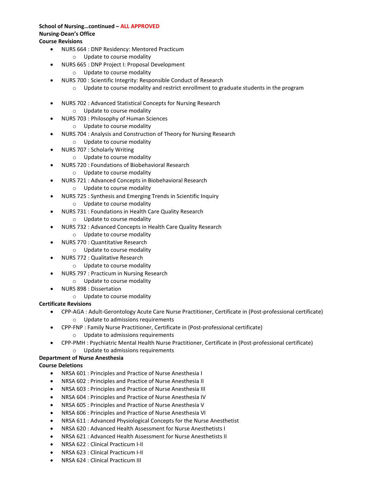## **School of Nursing…continued – ALL APPROVED Nursing-Dean's Office**

- **Course Revisions** 
	- NURS 664 : DNP Residency: Mentored Practicum
		- o Update to course modality
	- NURS 665 : DNP Project I: Proposal Development
		- o Update to course modality
	- NURS 700 : Scientific Integrity: Responsible Conduct of Research
		- $\circ$  Update to course modality and restrict enrollment to graduate students in the program
	- NURS 702 : Advanced Statistical Concepts for Nursing Research
		- o Update to course modality
	- NURS 703 : Philosophy of Human Sciences
		- o Update to course modality
	- NURS 704 : Analysis and Construction of Theory for Nursing Research
		- o Update to course modality
	- NURS 707 : Scholarly Writing
		- o Update to course modality
	- NURS 720 : Foundations of Biobehavioral Research
		- o Update to course modality
	- NURS 721 : Advanced Concepts in Biobehavioral Research
		- o Update to course modality
	- NURS 725 : Synthesis and Emerging Trends in Scientific Inquiry
		- o Update to course modality
	- NURS 731 : Foundations in Health Care Quality Research
		- o Update to course modality
	- NURS 732 : Advanced Concepts in Health Care Quality Research
		- o Update to course modality
	- NURS 770 : Quantitative Research
		- o Update to course modality
	- NURS 772 : Qualitative Research
		- o Update to course modality
	- NURS 797 : Practicum in Nursing Research
		- o Update to course modality
	- NURS 898 : Dissertation
		- o Update to course modality

### **Certificate Revisions**

- CPP-AGA : Adult-Gerontology Acute Care Nurse Practitioner, Certificate in (Post-professional certificate) o Update to admissions requirements
- CPP-FNP : Family Nurse Practitioner, Certificate in (Post-professional certificate)
	- o Update to admissions requirements
- CPP-PMH : Psychiatric Mental Health Nurse Practitioner, Certificate in (Post-professional certificate) o Update to admissions requirements

## **Department of Nurse Anesthesia**

### **Course Deletions**

- NRSA 601 : Principles and Practice of Nurse Anesthesia I
- NRSA 602 : Principles and Practice of Nurse Anesthesia II
- NRSA 603 : Principles and Practice of Nurse Anesthesia III
- NRSA 604 : Principles and Practice of Nurse Anesthesia IV
- NRSA 605 : Principles and Practice of Nurse Anesthesia V
- NRSA 606 : Principles and Practice of Nurse Anesthesia VI
- NRSA 611 : Advanced Physiological Concepts for the Nurse Anesthetist
- NRSA 620 : Advanced Health Assessment for Nurse Anesthetists I
- NRSA 621 : Advanced Health Assessment for Nurse Anesthetists II
- NRSA 622 : Clinical Practicum I-II
- NRSA 623 : Clinical Practicum I-II
- NRSA 624 : Clinical Practicum III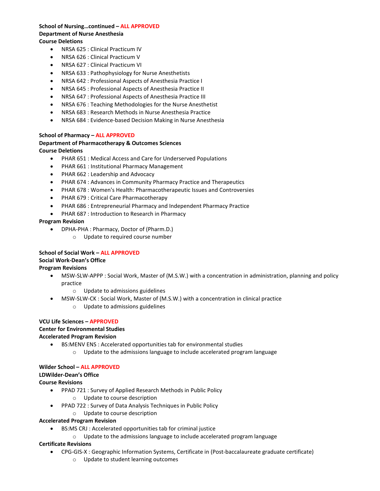#### **School of Nursing…continued – ALL APPROVED Department of Nurse Anesthesia Course Deletions**

- NRSA 625 : Clinical Practicum IV
- NRSA 626 : Clinical Practicum V
- NRSA 627 : Clinical Practicum VI
- NRSA 633 : Pathophysiology for Nurse Anesthetists
- NRSA 642 : Professional Aspects of Anesthesia Practice I
- NRSA 645 : Professional Aspects of Anesthesia Practice II
- NRSA 647 : Professional Aspects of Anesthesia Practice III
- NRSA 676 : Teaching Methodologies for the Nurse Anesthetist
- NRSA 683 : Research Methods in Nurse Anesthesia Practice
- NRSA 684 : Evidence-based Decision Making in Nurse Anesthesia

#### **School of Pharmacy – ALL APPROVED**

#### **Department of Pharmacotherapy & Outcomes Sciences Course Deletions**

- PHAR 651 : Medical Access and Care for Underserved Populations
- PHAR 661 : Institutional Pharmacy Management
- PHAR 662 : Leadership and Advocacy
- PHAR 674 : Advances in Community Pharmacy Practice and Therapeutics
- PHAR 678 : Women's Health: Pharmacotherapeutic Issues and Controversies
- PHAR 679 : Critical Care Pharmacotherapy
- PHAR 686 : Entrepreneurial Pharmacy and Independent Pharmacy Practice
- PHAR 687 : Introduction to Research in Pharmacy

#### **Program Revision**

- DPHA-PHA : Pharmacy, Doctor of (Pharm.D.)
	- o Update to required course number

## **School of Social Work – ALL APPROVED**

## **Social Work-Dean's Office**

#### **Program Revisions**

- • MSW-SLW-APPP : Social Work, Master of (M.S.W.) with a concentration in administration, planning and policy practice
	- o Update to admissions guidelines
- MSW-SLW-CK : Social Work, Master of (M.S.W.) with a concentration in clinical practice
	- o Update to admissions guidelines

### **VCU Life Sciences – APPROVED Center for Environmental Studies Accelerated Program Revision**

- BS:MENV ENS : Accelerated opportunities tab for environmental studies
	- Update to the admissions language to include accelerated program language

#### **Wilder School – ALL APPROVED**

#### **LDWilder-Dean's Office**

#### **Course Revisions**

- PPAD 721 : Survey of Applied Research Methods in Public Policy
	- o Update to course description
- PPAD 722 : Survey of Data Analysis Techniques in Public Policy
	- o Update to course description

#### **Accelerated Program Revision**

- BS:MS CRJ : Accelerated opportunities tab for criminal justice
	- o Update to the admissions language to include accelerated program language

#### **Certificate Revisions**

- CPG-GIS-X : Geographic Information Systems, Certificate in (Post-baccalaureate graduate certificate)
	- o Update to student learning outcomes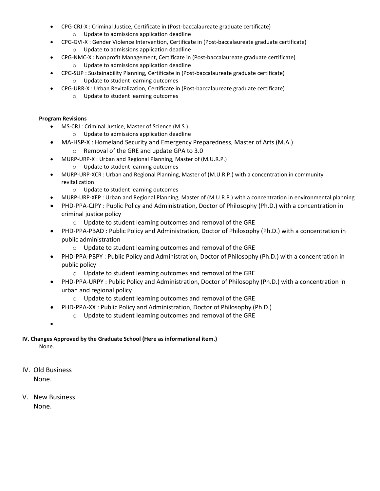- CPG-CRJ-X : Criminal Justice, Certificate in (Post-baccalaureate graduate certificate)
	- o Update to admissions application deadline
- • CPG-GVI-X : Gender Violence Intervention, Certificate in (Post-baccalaureate graduate certificate) o Update to admissions application deadline
- CPG-NMC-X : Nonprofit Management, Certificate in (Post-baccalaureate graduate certificate) o Update to admissions application deadline
- CPG-SUP : Sustainability Planning, Certificate in (Post-baccalaureate graduate certificate)
	- o Update to student learning outcomes
- CPG-URR-X : Urban Revitalization, Certificate in (Post-baccalaureate graduate certificate)
	- o Update to student learning outcomes

### **Program Revisions**

- MS-CRJ : Criminal Justice, Master of Science (M.S.)
	- o Update to admissions application deadline
	- MA-HSP-X : Homeland Security and Emergency Preparedness, Master of Arts (M.A.)
		- o Removal of the GRE and update GPA to 3.0
- MURP-URP-X : Urban and Regional Planning, Master of (M.U.R.P.)
	- o Update to student learning outcomes
- MURP-URP-XCR : Urban and Regional Planning, Master of (M.U.R.P.) with a concentration in community revitalization
	- o Update to student learning outcomes
- MURP-URP-XEP : Urban and Regional Planning, Master of (M.U.R.P.) with a concentration in environmental planning
- • PHD-PPA-CJPY : Public Policy and Administration, Doctor of Philosophy (Ph.D.) with a concentration in criminal justice policy
	- o Update to student learning outcomes and removal of the GRE
- PHD-PPA-PBAD : Public Policy and Administration, Doctor of Philosophy (Ph.D.) with a concentration in public administration
	- $\circ$  Update to student learning outcomes and removal of the GRE
- • PHD-PPA-PBPY : Public Policy and Administration, Doctor of Philosophy (Ph.D.) with a concentration in public policy
	- $\circ$  Update to student learning outcomes and removal of the GRE
- PHD-PPA-URPY : Public Policy and Administration, Doctor of Philosophy (Ph.D.) with a concentration in urban and regional policy
	- o Update to student learning outcomes and removal of the GRE
- • PHD-PPA-XX : Public Policy and Administration, Doctor of Philosophy (Ph.D.)
	- $\circ$  Update to student learning outcomes and removal of the GRE
- •

## **IV. Changes Approved by the Graduate School (Here as informational item.)**

None.

- IV. Old Business None.
- V. New Business None.